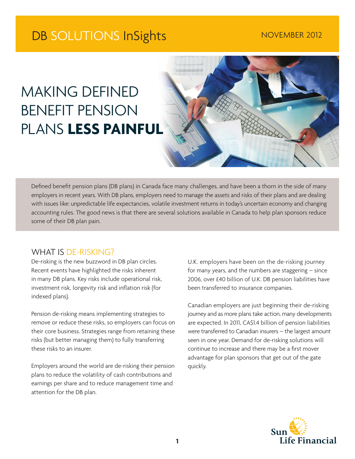# DB SOLUTIONS InSights NOVEMBER 2012

# MAKING DEFINED BENEFIT PENSION PLANS **LESS PAINFUL**



Defined benefit pension plans (DB plans) in Canada face many challenges, and have been a thorn in the side of many employers in recent years. With DB plans, employers need to manage the assets and risks of their plans and are dealing with issues like: unpredictable life expectancies, volatile investment returns in today's uncertain economy and changing accounting rules. The good news is that there are several solutions available in Canada to help plan sponsors reduce some of their DB plan pain.

### WHAT IS DE-RISKING?

De-risking is the new buzzword in DB plan circles. Recent events have highlighted the risks inherent in many DB plans. Key risks include operational risk, investment risk, longevity risk and inflation risk (for indexed plans).

Pension de-risking means implementing strategies to remove or reduce these risks, so employers can focus on their core business. Strategies range from retaining these risks (but better managing them) to fully transferring these risks to an insurer.

Employers around the world are de-risking their pension plans to reduce the volatility of cash contributions and earnings per share and to reduce management time and attention for the DB plan.

U.K. employers have been on the de-risking journey for many years, and the numbers are staggering – since 2006, over £40 billion of U.K. DB pension liabilities have been transferred to insurance companies.

Canadian employers are just beginning their de-risking journey and as more plans take action, many developments are expected. In 2011, CA\$1.4 billion of pension liabilities were transferred to Canadian insurers – the largest amount seen in one year. Demand for de-risking solutions will continue to increase and there may be a first mover advantage for plan sponsors that get out of the gate quickly.

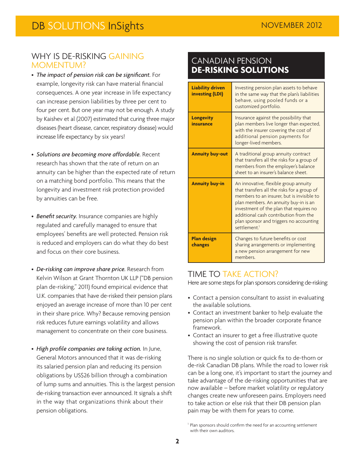### WHY IS DE-RISKING GAINING MOMENTUM?

- • *The impact of pension risk can be significant.* For example, longevity risk can have material financial consequences. A one year increase in life expectancy can increase pension liabilities by three per cent to four per cent. But one year may not be enough. A study by Kaishev et al (2007) estimated that curing three major diseases (heart disease, cancer, respiratory disease) would increase life expectancy by six years!
- • *Solutions are becoming more affordable.* Recent research has shown that the rate of return on an annuity can be higher than the expected rate of return on a matching bond portfolio. This means that the longevity and investment risk protection provided by annuities can be free.
- Benefit security. Insurance companies are highly regulated and carefully managed to ensure that employees' benefits are well protected. Pension risk is reduced and employers can do what they do best and focus on their core business.
- • *De-risking can improve share price.* Research from Kelvin Wilson at Grant Thornton UK LLP ("DB pension plan de-risking," 2011) found empirical evidence that U.K. companies that have de-risked their pension plans enjoyed an average increase of more than 10 per cent in their share price. Why? Because removing pension risk reduces future earnings volatility and allows management to concentrate on their core business.
- • *High profile companies are taking action.* In June, General Motors announced that it was de-risking its salaried pension plan and reducing its pension obligations by US\$26 billion through a combination of lump sums and annuities. This is the largest pension de-risking transaction ever announced. It signals a shift in the way that organizations think about their pension obligations.

# CANADIAN PENSION **DE-RISKING SOLUTIONS**

| <b>Liability driven</b><br><b>investing (LDI)</b> | Investing pension plan assets to behave<br>in the same way that the plan's liabilities<br>behave, using pooled funds or a<br>customized portfolio.                                                                                                                                                                                     |
|---------------------------------------------------|----------------------------------------------------------------------------------------------------------------------------------------------------------------------------------------------------------------------------------------------------------------------------------------------------------------------------------------|
| <b>Longevity</b><br>insurance                     | Insurance against the possibility that<br>plan members live longer than expected,<br>with the insurer covering the cost of<br>additional pension payments for<br>longer-lived members.                                                                                                                                                 |
| <b>Annuity buy-out</b>                            | A traditional group annuity contract<br>that transfers all the risks for a group of<br>members from the employer's balance<br>sheet to an insurer's balance sheet.                                                                                                                                                                     |
| <b>Annuity buy-in</b>                             | An innovative, flexible group annuity<br>that transfers all the risks for a group of<br>members to an insurer, but is invisible to<br>plan members. An annuity buy-in is an<br>investment of the plan that requires no<br>additional cash contribution from the<br>plan sponsor and triggers no accounting<br>settlement. <sup>1</sup> |
| <b>Plan design</b><br>changes                     | Changes to future benefits or cost<br>sharing arrangements or implementing<br>a new pension arrangement for new<br>members.                                                                                                                                                                                                            |

# TIME TO TAKE ACTION?

Here are some steps for plan sponsors considering de-risking:

- Contact a pension consultant to assist in evaluating the available solutions.
- Contact an investment banker to help evaluate the pension plan within the broader corporate finance framework.
- Contact an insurer to get a free illustrative quote showing the cost of pension risk transfer.

There is no single solution or quick fix to de-thorn or de-risk Canadian DB plans. While the road to lower risk can be a long one, it's important to start the journey and take advantage of the de-risking opportunities that are now available – before market volatility or regulatory changes create new unforeseen pains. Employers need to take action or else risk that their DB pension plan pain may be with them for years to come.

<sup>&</sup>lt;sup>1</sup> Plan sponsors should confirm the need for an accounting settlement with their own auditors.